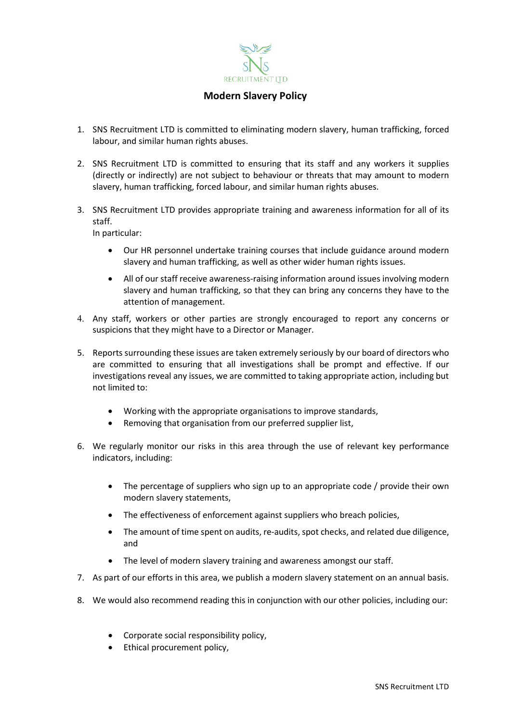

## **Modern Slavery Policy**

- 1. SNS Recruitment LTD is committed to eliminating modern slavery, human trafficking, forced labour, and similar human rights abuses.
- 2. SNS Recruitment LTD is committed to ensuring that its staff and any workers it supplies (directly or indirectly) are not subject to behaviour or threats that may amount to modern slavery, human trafficking, forced labour, and similar human rights abuses.
- 3. SNS Recruitment LTD provides appropriate training and awareness information for all of its staff.

In particular:

- Our HR personnel undertake training courses that include guidance around modern slavery and human trafficking, as well as other wider human rights issues.
- All of our staff receive awareness-raising information around issues involving modern slavery and human trafficking, so that they can bring any concerns they have to the attention of management.
- 4. Any staff, workers or other parties are strongly encouraged to report any concerns or suspicions that they might have to a Director or Manager.
- 5. Reports surrounding these issues are taken extremely seriously by our board of directors who are committed to ensuring that all investigations shall be prompt and effective. If our investigations reveal any issues, we are committed to taking appropriate action, including but not limited to:
	- Working with the appropriate organisations to improve standards,
	- Removing that organisation from our preferred supplier list,
- 6. We regularly monitor our risks in this area through the use of relevant key performance indicators, including:
	- The percentage of suppliers who sign up to an appropriate code / provide their own modern slavery statements,
	- The effectiveness of enforcement against suppliers who breach policies,
	- The amount of time spent on audits, re-audits, spot checks, and related due diligence, and
	- The level of modern slavery training and awareness amongst our staff.
- 7. As part of our efforts in this area, we publish a modern slavery statement on an annual basis.
- 8. We would also recommend reading this in conjunction with our other policies, including our:
	- Corporate social responsibility policy,
	- Ethical procurement policy,